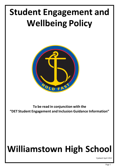# **Student Engagement and Wellbeing Policy**



**To be read in conjunction with the "DET Student Engagement and Inclusion Guidance Information"**

# **Williamstown High School**

Updated April 2022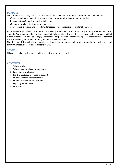## **PURPOSE**

The purpose of this policy is to ensure that all students and members of our school community understand:

- (a) our commitment to providing a safe and supportive learning environment for students
- (b) expectations for positive student behaviour
- (c) support available to students and families
- (d) our school's policies and procedures for responding to inappropriate student behaviour.

Williamstown High School is committed to providing a safe, secure and stimulating learning environment for all students. We understand that students reach their full potential only when they are happy, healthy and safe, and that a positive school culture helps to engage students and support them in their learning. Our school acknowledges that student wellbeing and student learning outcomes are closely linked.

The objective of this policy is to support our school to create and maintain a safe, supportive and inclusive school environment consistent with our school's values.

## **SCOPE**

This policy applies to all school activities, including camps and excursions.

## **CONTENTS**

- 1. School profile
- 2. School values, philosophy and vision
- 3. Engagement strategies
- 4. Identifying students in need of support
- 5. Student rights and responsibilities
- 6. Student behavioural expectations
- 7. Engaging with families
- 8. Evaluation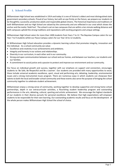# **1. School Profile**

Williamstown High School was established in 1914 and today it is one of Victoria's oldest and most distinguished state government secondary schools. Proud of our history, but with an eye firmly on the future, we prepare our students to be thoughtful, successful, productive adults and responsible global citizens. The historical importance and traditions of both Williamstown and our High School are valued by the community and are reflected in our crest which shows the anchor and the motto 'Hold Fast'. The school is set on two campuses that are within a ten minute walking distance and both campuses uphold the strong traditions and reputations with exciting programs and unique settings.

Williamstown High School caters for more than 1400 students from Years 7 to 12. The Bayview Campus caters for our Year 7 to 9 students whilst our Pasco Campus caters for our Year 10 to 12 students.

At Williamstown High School education provides a dynamic learning culture that promotes integrity, innovation and the individual. As a school community we value:

- Excellence and creativity in our achievements and ambitions.
- Integrity and honesty in our actions and relationships.
- Diversity in our curriculum, in each other and in our community.
- Strong and open communication between our school and our homes, and between our teachers, our students and our families.
- A commitment to social justice and a passion to protect and improve our environment and our community.

Our focus on individual growth and success, together with our emphasis on support and connection, encourages students to 'Be Safe, Be Respectful and Be a Learner'. Our students are provided with many opportunities to excel, these include universal academic excellence, sport, visual and performing arts, debating, leadership, environmental issues and a strong instrumental music program. There are numerous ways in which students can showcase their talents to both the local and broader school community and these events also serve the purpose of bringing the school community together to celebrate student achievement.

Williamstown enjoys a strong sense of community, working together to develop supportive and strong home school partnerships, depth in our extracurricular activities, a flourishing student leadership program and outstanding performances in the arts, debating, cultural, sporting and artistic achievement. We encourage the highest standards of our students in their diverse pursuits for personal excellence. We believe that high expectations will empower students to be responsible for their own learning. Our outstanding academic results and focus on the development of the whole person makes Williamstown High School the school of choice.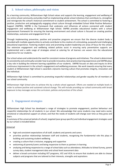# **2. School values, philosophy and vision**

As a learning community, Williamstown High School values and supports the learning, engagement and wellbeing of our entire school community and prides itself on implementing whole school initiatives that contribute to, strengthen and reinvigorate the school's historical commitment to student achievement. The school is committed to fostering a positive, productive and pedagogically engaging school culture through embedded School Wide Positive Behaviour Support (SWPBS). SWPBS is the framework that underpins and influences all actions connected with student engagement and wellbeing at Williamstown High School. SWPBS provides educational leaders with a school improvement framework for ensuring the learning environment and school culture is focused on creating positive relationships, outcomes and engagement for all.

Through implementing preventive, positive and proactive programs we ensure that the diverse student body is provided with multiple opportunities to actively contribute to the creation of a stimulating, purposeful and challenging educational experience. Fostering student voice and promoting student leadership are areas of focus for the school. Our extensive engagement and wellbeing related policies assist in ensuring early preventative supports are implemented and a wide range of strategies aimed at catering for all learners are woven into the educational experience for our students.

Our school values and understands the need for consistent review of programs and initiatives. The school is determined to consistently and continually consider how to provide innovative, best practice learning experiences and SWPBS plays a key role in building the inherent learning capabilities of our students. SWPBS focuses on data and inquiry to drive continuous improvement in the school's engagement and wellbeing processes. We work towards ensuring that every student at Williamstown High School is awarded a dynamic learning culture that promotes integrity, innovation and the individual.

Williamston High School is committed to promoting respectful relationships and gender equality for all members of our school community.

Williamstown High School aims to achieve this by a whole school approach. Efforts are needed at multiple levels in order to achieve positive and sustained cultural change. This will include providing our school community with broad exposure to key messages across the curriculum, policies and practices of the school.

# **3. Engagement strategies**

Williamstown High School has developed a range of strategies to promote engagement, positive behaviour and respectful relationships for all students in our school. We acknowledge that some students may need extra social, emotional or educational support at school, and that the needs of students will change over time as they grow and learn.

A summary of the universal (whole of school), targeted (year group specific) and individual engagement strategies used by our school is included below:

**Universal** 

- high and consistent expectations of all staff, students and parents and carers
- prioritise positive relationships between staff and students, recognising the fundamental role this plays in building and sustaining student wellbeing
- creating a culture that is inclusive, engaging and supportive
- welcoming all parents/carers and being responsive to them as partners in learning
- analysing and being responsive to a range of school data such as attendance, Attitudes to School Survey, parent survey data, student management data and school level assessment data
- deliver a broad curriculum including VET programs, VCE and VCAL to ensure that students are able to choose subjects and programs that are tailored to their interests, strengths and aspirations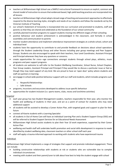- teachers at Williamstown High School use a SIMPLE instructional framework to ensure an explicit, common and shared model of instruction to ensure that evidenced-based, high yield teaching practices are incorporated into all lessons
- teachers at Williamstown High school adopt a broad range of teaching and assessment approaches to effectively respond to the diverse learning styles, strengths and needs of our students and follow the standards set by the Victorian Institute of Teaching
- our school's Statement of Inclusivity is incorporated into our curriculum and promoted to students, staff and parents so that they are shared and celebrated as the foundation of our school community
- carefully planned transition programs to support students moving into different stages of their schooling
- positive behaviour and student achievement is acknowledged in the classroom, and formally in school assemblies and communication to parents
- monitor student attendance and implement attendance improvement strategies at a whole-school, cohort and individual level
- students have the opportunity to contribute to and provide feedback on decisions about school operations through the Student Leadership Group and other forums including year group meetings and Peer Support Groups. Students are also encouraged to speak with their teachers, Year Level Coordinator, Assistant Principal and Principal whenever they have any questions or concerns.
- create opportunities for cross—age connections amongst students through school plays, athletics, music programs and peer support programs
- all students are welcome to self-refer to the Student Wellbeing Coordinator, School Nurse, School Chaplain, Year Group Leaders, Assistant Principal and Principal if they would like to discuss a particular issue or feel as though they may need support of any kind. We are proud to have an 'open door' policy where students and staff are partners in learning
- we engage in school wide positive behaviour support with our staff and students, which includes programs such as:
	- o Respectful Relationships
	- o Safe Schools
- programs, incursions and excursions developed to address issue specific behaviour
- opportunities for student inclusion (i.e. sports teams, clubs, recess and lunchtime activities)

#### *Targeted*

- each year group has two Student Management Leaders, teachers responsible for their year, who monitor the health and wellbeing of students in their year, and act as a point of contact for students who may need additional support
- all students will be assisted to develop a Career Action Plan, with targeted goals and support to plan for their future
- connect all Koorie students with a Learning Specialist
- all students in Out of Home Care will have an Individual Learning Plan and a Student Support Group (SSG) and will be referred to Student Support Services for an Educational Needs Assessment
- Williamstown High School assists students to plan their Year 10 work experience, supported by their Career Action Plan
- wellbeing and health staff will undertake health promotion and social skills development in response to needs identified by student wellbeing data, classroom teachers or other school staff each year
- staff will apply a trauma-informed approach to working with students who have experienced trauma

#### Individual

Williamstown High School implements a range of strategies that support and promote individual engagement. These can include:

- building constructive relationships with students at risk or students who are vulnerable due to complex individual circumstances
- meeting with student and their parent/carer to talk about how best to help the student engage with school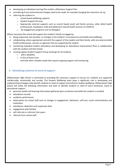- developing an Individual Learning Plan and/or a Behaviour Support Plan
- considering if any environmental changes need to be made, for example changing the classroom set up
- referring the student to:
	- o school-based wellbeing supports
	- o Student Support Services
	- o Appropriate external supports such as council based youth and family services, other allied health professionals, headspace, child and adolescent mental health services or ChildFirst
	- o Re-engagement programs such as Navigator

Where necessary the school will support the student's family to engage by:

- being responsive and sensitive to changes in the student's circumstances and health and wellbeing
- collaborating, where appropriate and with the support of the student and their family, with any external allied health professionals, services or agencies that are supporting the student
- monitoring individual student attendance and developing an Attendance Improvement Plans in collaboration with the student and their family
- running regular Student Support Group meetings for all students:
	- o with a disability
	- o in Out of Home Care

and with other complex needs that require ongoing support and monitoring.

# **4. Identifying students in need of support**

Williamstown High School is committed to providing the necessary support to ensure our students are supported intellectually, emotionally and socially. The Student Wellbeing team plays a significant role in developing and implementing strategies help identify students in need of support and enhance student wellbeing. Williamstown High School will utilise the following information and tools to identify students in need of extra emotional, social or educational support:

- personal, health and learning information gathered upon enrolment and while the student is enrolled
- attendance records
- academic performance
- observations by school staff such as changes in engagement, behaviour, self-care, social connectedness and motivation
- attendance, detention and suspension data
- engagement with families
- self-referrals or referrals from peers
- referrals from school staff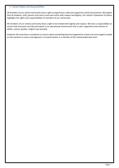#### **5. Student Rights and Responsibilities**

All members of our school community have a right to experience a safe and supportive school environment. We expect that all students, staff, parents and carers treat each other with respect and dignity. Our school's Statement of Values highlights the rights and responsibilities of members of our community.

All members of our school community have a right to be treated with dignity and respect. We have a responsibility to ensure that everyone can fully participate in an educational environment that is safe, supportive and inclusive of ability, culture, gender, religion and sexuality.

Students who may have a complaint or concern about something that has happened at school are encouraged to speak to their parents or carers and approach a trusted teacher or a member of the school leadership team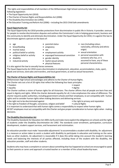The rights and responsibilities of all members of the Williamstown High School community take into account the following legislation:

- The Equal Opportunity Act (2010)
- The Charter of Human Rights and Responsibilities Act (2006)
- The Disability Discrimination Act (1992)
- *The* Education Training and Reform Act (2006) *–* including the 2015 Child Safe amendments

# **Equal Opportunity Act**

The Equal Opportunity Act 2010 provides protections from discrimination in public life in Victoria. It provides avenues for people to resolve discrimination disputes and outlines the Commission's role in helping government, business and the community to identify and eliminate discrimination. Under the Equal Opportunity Act 2010, it is against the law to discriminate against a person on the basis of:

- age
- **breastfeeding**
- parental status
- pregnancy
- marital status
- political belief or activity
- religious belief or activity
- disability
- industrial activity
- 
- sex
- employment activity
- expunged homosexual conviction
- gender identity

• physical features

- lawful sexual activity
- race (including colour, nationality, ethnicity and ethnic origin)
- sexual orientation
- personal association with someone who has, or is assumed to have, any of these personal characteristics.

It is also against the law to sexually harass someone. The Equal Opportunity Act 2010 covers discrimination in employment, education, accommodation, clubs, sport, goods and services, land sales and transfers, and local government, as well as sexual harassment.

# **The Charter of Human Rights and Responsibilities Act**

Williamstown High School acknowledges and adheresto the Charter of Human Rights.

The Charter sets out a list of 20 rights that reflect the following four basic principles:

- freedom respect
- 
- equality dignity The Charter outlines a vision of human rights for all Victorians. The charter affirms that all people are born free and equal in dignity and rights. While the charter demands equality for all, it also emphasises the value of difference. The charter requires public authorities, including government schools and their employees, to act compatibly with human rights and to consider human rights when making decisions and delivering services.
- the right not to be discriminated against  **the right to privacy and reputation**
- the right to freedom of thought, conscience, religion and belief cultural Rights
- It is important to understand that with human rights comes a responsibility to respect other human rights.

All DET employees must act compatibly with the Charter and give proper consideration to human rights when making decisions.

# **The Disability Discrimination Act**

The Disability Standards for Education Act 2005 clarify and make more explicit the obligations on schools and the rights of students under the *Disability Discrimination Act 1992*. The standards cover enrolment, participation, curriculum development, student support services, and harassment and victimisation.

An education provider must make 'reasonable adjustments' to accommodate a student with disability. An adjustment is a measure or action taken to assist a student with disability to participate in education and training on the same basis as other students. An adjustment is reasonable if it does this while taking into account the student's learning needs and balancing the interests of all parties affected, including those of the student with the disability, the education provider, staff and other students.

Students who may have a complaint or concern about something that has happened at school are encouraged to speak to their parents or carers and approach a trusted teacher or a member of the school leadership team.

- 
- 
-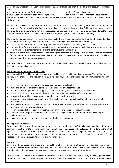In determining whether an adjustment is reasonable, an education provider should take into account information about:

- the nature of the student's disability  **in the student •** their preferred adjustment
	-

• any adjustments that have been provided previously • any recommended or alternative adjustments

This information might come from the student, an associate of the student, independent experts, or a combination of these people.

An education provider should ensure that the student, or an associate of the student, has timely information about the processes for determining whether the proposed adjustment would cause unjustifiable hardship to the provider. The provider should also ensure that these processes maintain the dignity, respect, privacy and confidentiality of the student and the associates of the student, consistent with the rights of the rest of the community.

The provider may consider all likely costs and benefits, both direct and indirect, for the provider, the student and any associates of the student, and any other persons in the learning or wider community, including:

- costs associated with additional staffing, providing special resources or modifying the curriculum.
- costs resulting from the student's participation in the learning environment, including any adverse impact on learning and social outcomes for the student, other students and teachers.
- benefits of the student's participation in the learning environment, including positive learning and social outcomes for the student, other students and teachers, and any financial incentives, such as subsidies or grants, available to the provider if the student participates.

The DDA and the Education Standards do not require changes to be made if this would impose unjustifiable hardship to a person or organisation.

## **Statement of Commitment to Child Safety**

Williamston High School is committed to safety and wellbeing of all children and young people. This will be the primary focus of our care and decision-making. In its planning, decision-making and operations Williamstown High School will:

- take a preventative, proactive and participatory approach to child safety.
- value and empower children to participate in decisions which affect their lives.
- foster a culture of openness that supports all persons to safely disclose risks of harm to children.
- respect diversity in cultures and child rearing practices while keeping child safety paramount.
- provide written guidance on appropriate conduct and behavior towards children
- engage only the most suitable people to work with children and have high quality staff and professional development.
- ensure children know who to talk with if they are worried or are feeling unsafe, and that they are comfortable and encouraged to raise such issues.
- report suspected abuse, neglect or mistreatment promptly to the appropriate authorities.
- share information appropriately and lawfully with other organisations where the safety and wellbeing of children is at risk.
- value the input of and communicate regularly with families and carers.

#### **Bullying Prevention Policy**

Every person in our school community; students, teachers and other staff, families and members of the local community has the right to feel safe and have a sense of belonging. A person who bullies another is denying them that right. The school will take all the necessary steps to ensure every person's right to feel safe is delivered. The involvement and commitment of the whole school community is required to achieve a culture in which safe and respectful schools are everyone's concern and responsibility.

#### *Context*

Bullying is when a person or a group of people deliberately upset or hurt another person or damage their property, reputation or social acceptance in a repeated manner over time. There is an imbalance of power in incidents of bullying with the bully or bullies having more power at the time due to age, size, status or other reasons.

Bullying may occur because of perceived differences including but not limited to culture, ethnicity, gender, sexual orientation, ability or disability, religion, body size and physical appearance, age, economic status or the holding or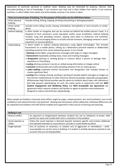expression of particular personal or political views. Bullying may be motivated by jealousy, distrust, fear, misunderstanding or lack of knowledge. It can continue over time and is often hidden from adults. It can continue overtime, is often hidden from adults and will probably continue if no action is taken.

|                             | There are several types of bullying. For the purpose of this policy see the definitions below:                                                                                                                                                                                                                                                                                                                                                                                                                                                                                                                                                                                                                                                                                                                                                                                                                                                                                                                                                                                                                                                                                                                                                                                                                                                                                                                                                                   |
|-----------------------------|------------------------------------------------------------------------------------------------------------------------------------------------------------------------------------------------------------------------------------------------------------------------------------------------------------------------------------------------------------------------------------------------------------------------------------------------------------------------------------------------------------------------------------------------------------------------------------------------------------------------------------------------------------------------------------------------------------------------------------------------------------------------------------------------------------------------------------------------------------------------------------------------------------------------------------------------------------------------------------------------------------------------------------------------------------------------------------------------------------------------------------------------------------------------------------------------------------------------------------------------------------------------------------------------------------------------------------------------------------------------------------------------------------------------------------------------------------------|
| Direct physical<br>bullying | Includes hitting, kicking, tripping, pinching and pushing or damaging property                                                                                                                                                                                                                                                                                                                                                                                                                                                                                                                                                                                                                                                                                                                                                                                                                                                                                                                                                                                                                                                                                                                                                                                                                                                                                                                                                                                   |
| Direct verbal<br>bullying   | Includes name calling, insults, teasing, intimidation, homophobic or racist remarks, or verbal<br>abuse.                                                                                                                                                                                                                                                                                                                                                                                                                                                                                                                                                                                                                                                                                                                                                                                                                                                                                                                                                                                                                                                                                                                                                                                                                                                                                                                                                         |
| Indirect bullying           | Is often harder to recognise and can be carried out behind the bullied person's back. It is<br>designed to harm someone's social reputation and/or cause humiliation. Indirect bullying<br>includes: lying and spreading rumours, playing nasty jokes to embarrass and humiliate,<br>mimicking, and encouraging others to socially exclude someone, damaging someone's social<br>reputation or social acceptance.                                                                                                                                                                                                                                                                                                                                                                                                                                                                                                                                                                                                                                                                                                                                                                                                                                                                                                                                                                                                                                                |
| Cyberbullying               | Is direct verbal or indirect bullying behaviours using digital technologies. This includes<br>harassment via a mobile phone, setting up a defamatory personal website or deliberately<br>excluding someone from social networking spaces. It can include<br>• flaming (online fights using electronic messages with angry or vulgar messages)<br>• harassment (repeatedly sending nasty, mean and insulting messages)<br>• denigration (posting or sending gossip or rumours about a person to damage their<br>reputation or friendships)<br>• outing (sharing someone's secrets or embarrassing information or images online)<br>• exclusion (intentionally and cruelly excluding someone from an online group)<br>• cyber-stalking (repeated intense harassment and denigration that includes threats or<br>creates significant fear)<br>• sexting (the creating, sharing, sending or posting of sexually explicit messages or images via<br>the internet, mobile phones or other electronic devices by people, especially young people).<br>Williamstown High School provides specific advice to students about cyber-safe behaviours<br>that help prevent cyberbullying. As such, this policy works in conjunction with the WHS<br>Student Engagement and Wellbeing Policy and WHS Acceptable Use Agreement (an<br>agreement which requires students and families to agree to positive online behaviours<br>designed to reduce and eliminate cyberbullying). |

When people are bullied or harassed some effects might be anger, embarrassment, fear and humiliation, loss of selfconfidence and reduced function and potential. Bullying and harassment will be addressed, individual differences will be respected and students and staff will be enabled and supported in their pursuit of learning and teaching.

| <b>Bullying is not:</b>        |                                                                                                                                                                                                                            |  |  |  |
|--------------------------------|----------------------------------------------------------------------------------------------------------------------------------------------------------------------------------------------------------------------------|--|--|--|
| Mutual conflict                | An argument or disagreement between students but not an imbalance of power. Both<br>parties are upset and usually both want a resolution to the problem                                                                    |  |  |  |
| Social rejection or<br>dislike | Unless the social rejection is directed towards someone specific and involves deliberate<br>and repeated attempts to cause distress, exclude or create dislike by others                                                   |  |  |  |
| Single-episode                 | Acts of nastiness or meanness, or random acts of aggression or intimidation - while<br>unacceptable are not the same as bullying. If a student is verbally abused or pushed on one<br>occasion they are not being bullied. |  |  |  |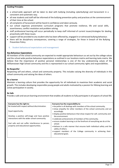#### **Guiding Principles**

- a school-wide approach will be taken to deal with bullying (including cyberbullying) and harassment in a consistent and systematic way.
- all new students and staff will be informed of the bullying prevention policy and practices at the commencement of their time at the school.
- all complaints of harassment will be heard in confidence and taken seriously.
- our school organises preventative curriculum programs that promote resilience, life and social skills, assertiveness, conflict resolution and problem solving.
- staff professional learning will occur periodically to keep staff informed of current issues/strategies for dealing proactively with these issues.
- support will be provided to any student who has been affected by, engaged in or witnessed bullying behaviour.
- there will be disciplinary consequences, covering a range of strategies, for those in breach of the Bullying Prevention Policy.
	- 6. Student behavioural expectations and management

#### **Key Behaviour Expectations**

All members of the school community are expected to model appropriate behaviours as set out by the college values and the school wide positive behaviour expectations as outlined in our locations matrix and learning tasks matrix. We believe that the importance of positive personal relationships is one of the key underpinning values of the Williamstown High School community and this is represented in our school community rights and responsibilities.

#### **Be Respectful**

Respecting self and others, school and community property. This includes valuing the diversity of individuals in the school community and valuing the ideas of others.

#### **Be a learner**

Maintain a learning culture that provides the opportunity for all individuals to maximise their academic and social growth. This includes developing responsible young people and adults motivated by a passion for lifelong learning and active participation in society.

#### **Be Safe**

Provide a safe and secure learning environment that enables all students to fully participate in all aspects of school life.

| Everyone has the right to:                       | Everyone has the responsibility to:                                                        |
|--------------------------------------------------|--------------------------------------------------------------------------------------------|
| Be treated with respect without discrimination.  | • be polite in all dealings with members of the school community.                          |
| Equal opportunity.                               | • show empathy for other members of the school community and act<br>accordingly.           |
|                                                  | • display positive behaviours that show respect for self, community and                    |
| Develop a positive self-image and have positive  | the environment.                                                                           |
| interactions with the wider school community.    | • celebrate achievements of members of the community.                                      |
| Feel safe and not suffer interference to person, | • ensure student learning is at the forefront of everything we do at the<br>school.        |
| property and educational opportunities.          | • behave in a safe manner that ensures both individual safety and the<br>safety of others. |
|                                                  | • support members of the College community in achieving their<br>educational goals.        |
|                                                  |                                                                                            |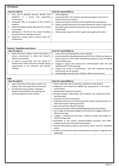# **All Students:**

| Have the right to: |                                                                                                                 | Have the responsibility to: |                                                                                                                                                                                                       |
|--------------------|-----------------------------------------------------------------------------------------------------------------|-----------------------------|-------------------------------------------------------------------------------------------------------------------------------------------------------------------------------------------------------|
|                    | learn and to develop interests, abilities and<br>ambitions in a secure and<br>supportive<br>environment.        | ٠                           | attend regularly.<br>participate fully in the school's educational program and strive to<br>achieve their personal best.                                                                              |
|                    | participate fully in all aspects of the school's<br>program.<br>expect the highest quality education the school | ٠                           | explore and express relevant and thoughtful ideas and opinions.<br>display positive behaviours that demonstrate the school's values and<br>key expectations towards themselves, the community and the |
|                    | can provide.<br>participate in the life of the school including                                                 |                             | environment.<br>demonstrate respect for other's right to be taught and to learn.                                                                                                                      |
|                    | relevant decision making processes.                                                                             |                             |                                                                                                                                                                                                       |
|                    | experience success and to receive praise for<br>achievement.                                                    |                             |                                                                                                                                                                                                       |

# **Parents / Guardians and Carers:**

| Have the right to: |                                                                                             | Have the responsibility to: |                                                                                                      |
|--------------------|---------------------------------------------------------------------------------------------|-----------------------------|------------------------------------------------------------------------------------------------------|
|                    | expect that their children will be educated in a                                            | $\bullet$                   | ensure their child attends the school regularly.                                                     |
|                    | secure environment in which the school's                                                    | ٠                           | promote positive educational outcomes for their children by taking an                                |
|                    | values are promoted.                                                                        |                             | active interest in their child's educational progress and by modelling                               |
|                    | to work in partnership with the school to                                                   |                             | positive behaviours.                                                                                 |
|                    | advance their child's education through having<br>opportunities to be informed and actively |                             | engage in regular and constructive communication with the staff<br>regarding their child's learning. |
|                    | involved.                                                                                   |                             | support the school in maintaining a safe and respectful learning<br>environment for all students.    |
|                    |                                                                                             |                             | acknowledge and praise their children's efforts and successes.                                       |

|                    | Staff:                                                                                                                                                                                                                   |                                                                                                                                                                                                                                                                                                                                                                                                                                                                                                                                                                                                                                                                                                                                                                                                                                                                                                                                                                                                                                                                         |  |
|--------------------|--------------------------------------------------------------------------------------------------------------------------------------------------------------------------------------------------------------------------|-------------------------------------------------------------------------------------------------------------------------------------------------------------------------------------------------------------------------------------------------------------------------------------------------------------------------------------------------------------------------------------------------------------------------------------------------------------------------------------------------------------------------------------------------------------------------------------------------------------------------------------------------------------------------------------------------------------------------------------------------------------------------------------------------------------------------------------------------------------------------------------------------------------------------------------------------------------------------------------------------------------------------------------------------------------------------|--|
| Have the right to: |                                                                                                                                                                                                                          | Have the responsibility to:                                                                                                                                                                                                                                                                                                                                                                                                                                                                                                                                                                                                                                                                                                                                                                                                                                                                                                                                                                                                                                             |  |
| $\bullet$          | expect that they will be able to teach in an<br>orderly, safe and cooperative environment.<br>be informed, about matters relating to<br>students that will affect the teaching and<br>learning program for that student. | • fairly, reasonably and consistently, implement school policies.<br>• implement and embed the SWPBS key expectations in all school<br>environments.<br>• develop their capacity as teachers.<br>• develop positive relationships with students and understand their<br>learning needs.<br>• know the curriculum they teach.<br>• understand the process of learning and the impact of good practice on<br>enhanced student learning outcomes.<br>• plan and assess for effective learning.<br>• create and maintain safe and challenging learning environments.<br>• use a range of teaching strategies and resources to engage students in<br>effective learning.<br>• engage in professional learning in relation to goals and targets in<br>school strategic plan.<br>• participate in the school's decision-making processes and foster<br>student, parent and community participation.<br>· provide educational programs and services which cater for individual<br>needs.<br>• create an environment where achievement are valued, recognised and<br>celebrated. |  |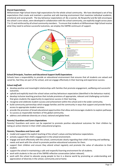## **Shared Expectations**

Williamstown High School shares high expectations for the whole school community. We have developed a set of key expectations that create and maintain a positive and safe learning environment that maximise individual academic, emotional and social growth. The key behaviour expectations of: Be a Learner, Be Respectful and Be Safe encompass the school's core values, were developed in collaboration with the school community, are explicitly taught across years 7 to 12 and reinforced by all school community members. To ensure that students at Williamstown High School receive



## **School (Principals, Teachers and Educational Support Staff) Expectations**

Schools have a responsibility to provide an educational environment that ensures that all students are valued and cared for, feel they are part of the school, and can engage effectively in their learning and experience success.

#### *School staff will:*

- develop positive and meaningful relationships with families that promote engagement, wellbeing and successful outcomes.
- uphold and explicitly teach the school values and key behaviours expectation (identified in the behaviour matrix).
- develop inclusive teaching practices that include provisions of appropriate, relevant and challenging curriculum that gives students the opportunity to experience success in their learning.
- recognise and celebrate student success and achievement within the school and in the wider community.
- build community partnerships which engage families and the community in ways that support and provide family access to appropriate student services.
- provide the provision of broad educational opportunities that allow and encourages students to explore pathways to success as responsible members of the global community.
- address and celebrate diversity on a local, national and global level.

#### **Parents/ Guardians and Carers Expectations**

Parents/ Guardians and carers can be expected to promote positive educational outcomes for their children by taking an active interest in their child's educational progress.

#### *Parents / Guardians and Carers will:*

- model and support the explicit teaching of the school's values and key behaviour expectations.
- actively support their child's engagement in the school environment.
- engage and work effectively with the school, communicate clearly regarding their child's learning and wellbeing needs and work with the school to promote positive educational outcomes for them.
- support their children and ensure they attend school regularly and promote the value of education to their student.
- support the school in maintaining a safe and respectful learning environment for all students.
- work with students in the use of the SWPBS reflective conversation (when relevant).
- work with the school to educate young people to live in a diverse world by promoting an understanding and appreciation of diversity in the school, community and at home.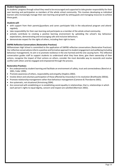## **Student Expectations**

As students' progress through school they need to be encouraged and supported to take greater responsibility for their own learning and participation as members of the whole school community. This involves developing as individual learners who increasingly manage their own learning and growth by setting goals and managing resources to achieve these goals.

## *Students will:*

- with support from their parents/guardians and carers participate fully in the educational program and attend regularly.
- take responsibility for their own learning and participate as a member of the whole school community.
- actively contribute to creating a positive learning environment by upholding the school's key behaviour expectations, demonstrating and encouraging safe and inclusive behaviours.
- demonstrate respect for the rights of others, including their right to learn.

## **SWPBS Reflective Conversations (Restorative Practices)**

Williamstown High School is committed to the application of SWPBS reflective conversations (Restorative Practices). Our reflective conversations inform a positive and formative approach to student engagement and wellbeing (including behaviour management). Its aim is to promote resilience in the one harmed and the one causing harm. The reflective conversation guides staff to support students to understand what they have done, give them ownership of their actions, recognise the impact of their actions on others, consider the most desirable way to reconcile and resolve conflict with others and be engaged and empowered through the process.

#### **Restorative Practices:**

- Are underpinned by student learning and facilitate an environment of safety, trust and connectedness (Bond et al. 2001, Fuller 1999).
- Promote awareness of others, responsibility and empathy (Hopkins 2002).
- Involve direct and voluntary participation of those affected by misconduct in its resolution (Braithwaite 2001b).
- Promote relationship management rather than behaviour management (Cameron & Thorsborne 2001).
- Are systematic, not situational (Armstrong 2004).
- Are concerned with establishing or re-establishing social equality in relationships; that is, relationships in which each person's rights to equal dignity, concern and respect are satisfied (Morrison 2002).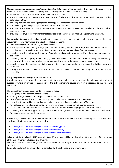*Student engagement, regular attendance and positive behaviours* will be supported through a relationship based on School Wide Positive Behaviour Support practices throughout the whole school, including:

- establishing predictable, safe and respectful school environments.
- ensuring student participation in the development of whole school expectations as clearly identified in the behaviour matrix.
- providing personalised learning programs where appropriate for individual students.
- acknowledging and recognising the positive behaviours of all students.
- empowering students by creating multiple opportunities for them to take responsibility and be involved in decision making.
- providing safe physical environments that foster positive behaviours and effective engagement in learning.

*Inappropriate behaviours,* including irregular attendance, will be responded to through a staged response that has a preventative, early intervention and data based focus, including:

- understanding the student's background and needs.
- ensuring a clear understanding of key expectations by students, parents/ guardians, carers and teachers exists.
- providing explicit reteaching opportunities to students who exhibit second and first tier behaviours.
- engaging, involving and supporting parents / guardians and carers to promote positive educational outcomes for their child.
- convening student support group meetings (SSG) to develop individualised and flexible support plans which may include scaffolding the student's learning program and/or learning, behaviour or attendance plans.
- actively involve the student well-being coordinator, careers counsellor and managed individual pathways coordinator.
- linking students and families with community support, health agencies, mentoring opportunities and/or counselling.

#### *Discipline procedures – suspension and expulsion*

A student may only be excluded from school in situations where all other measures have been implemented without success or where an immediate suspension is the only appropriate course of action in response to the student's behaviour.

The Staged Interventions used prior to suspension include:

- A range of positive behaviour interventions.
- learning plans, behaviour support plans and return to school plans.
- parent/ guardians and carers contact through email, telephone conversations and meetings.
- referral to student wellbeing coordinator, leading teachers, assistant principals and DET personnel.
- referral to school based positive behaviours, preventative and intervention wellbeing programs.
- use of Compass to monitor and track students at risk in order to provide appropriate early intervention.
- convening of a Student Support Group (SSG) and SSG meetings (see the 'DET Student Engagement and Inclusion Guidance Information' for the process).

Suspension, expulsion and restrictive interventions are measures of last resort and may only be used in situations consistent with Department policy, available at:

- <https://www2.education.vic.gov.au/pal/suspensions/policy>
- <https://www2.education.vic.gov.au/pal/expulsions/policy>
- <https://www2.education.vic.gov.au/pal/restraint-seclusion/policy>

In line with Ministerial Order 1125, no student aged 8 or younger will be expelled without the approval of the Secretary of the Department of Education and Training.

The Principal of Williamstown High School is responsible for ensuring all suspensions and expulsions are recorded on CASES21.

Corporal punishment is prohibited in our school and will not be used in any circumstance.